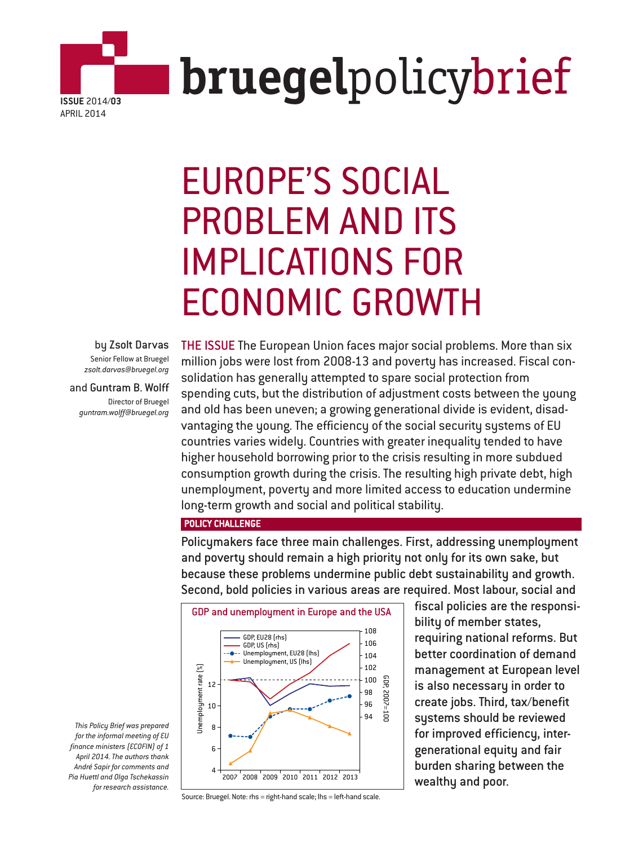

# EUROPE'S SOCIAL PROBLEM AND ITS IMPLICATIONS FOR ECONOMIC GROWTH

by Zsolt Darvas Senior Fellow at Bruegel *zsolt.darvas@bruegel.org*

and Guntram B. Wolff Director of Bruegel *guntram.wolff@bruegel.org*

THE ISSUE The European Union faces major social problems. More than six million jobs were lost from 2008-13 and poverty has increased. Fiscal consolidation has generally attempted to spare social protection from spending cuts, but the distribution of adjustment costs between the young and old has been uneven; a growing generational divide is evident, disadvantaging the young. The efficiency of the social security systems of EU countries varies widely. Countries with greater inequality tended to have higher household borrowing prior to the crisis resulting in more subdued consumption growth during the crisis. The resulting high private debt, high unemployment, poverty and more limited access to education undermine long-term growth and social and political stability.

POLICY CHALLENGE

Policymakers face three main challenges. First, addressing unemployment and poverty should remain a high priority not only for its own sake, but because these problems undermine public debt sustainability and growth. Second, bold policies in various areas are required. Most labour, social and



fiscal policies are the responsibility of member states, requiring national reforms. But better coordination of demand management at European level is also necessary in order to create jobs. Third, tax/benefit systems should be reviewed for improved efficiency, intergenerational equity and fair burden sharing between the wealthy and poor.

*This Policy Brief was prepared for the informal meeting of EU finance ministers (ECOFIN) of 1 April 2014. The authors thank André Sapir for comments and Pia Huettl and Olga Tschekassin for research assistance.*

Source: Bruegel. Note: rhs = right-hand scale; lhs = left-hand scale.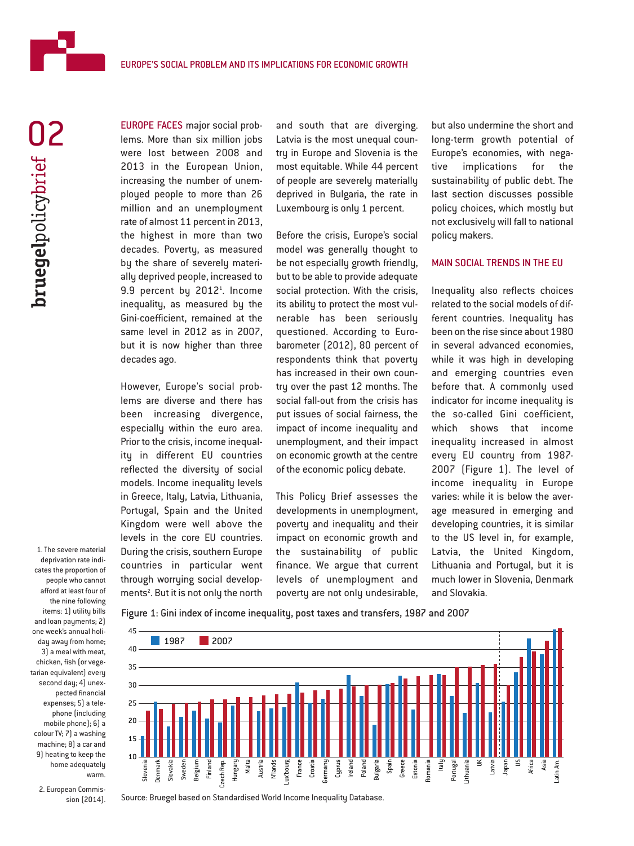

EUROPE FACES major social problems. More than six million jobs were lost between 2008 and 2013 in the European Union, increasing the number of unemployed people to more than 26 million and an unemployment rate of almost 11 percent in 2013, the highest in more than two decades. Poverty, as measured by the share of severely materially deprived people, increased to 9.9 percent by 2012<sup>1</sup>. Income inequality, as measured by the Gini-coefficient, remained at the same level in 2012 as in 2007, but it is now higher than three decades ago.

However, Europe's social problems are diverse and there has been increasing divergence, especially within the euro area. Prior to the crisis, income inequality in different EU countries reflected the diversity of social models. Income inequality levels in Greece, Italy, Latvia, Lithuania, Portugal, Spain and the United Kingdom were well above the levels in the core EU countries. During the crisis, southern Europe countries in particular went through worrying social developments<sup>2</sup>. But it is not only the north

and south that are diverging. Latvia is the most unequal country in Europe and Slovenia is the most equitable. While 44 percent of people are severely materially deprived in Bulgaria, the rate in Luxembourg is only 1 percent.

Before the crisis, Europe's social model was generally thought to be not especially growth friendly, but to be able to provide adequate social protection. With the crisis, its ability to protect the most vulnerable has been seriously questioned. According to Eurobarometer (2012), 80 percent of respondents think that poverty has increased in their own country over the past 12 months. The social fall-out from the crisis has put issues of social fairness, the impact of income inequality and unemployment, and their impact on economic growth at the centre of the economic policy debate.

This Policy Brief assesses the developments in unemployment, poverty and inequality and their impact on economic growth and the sustainability of public finance. We argue that current levels of unemployment and poverty are not only undesirable,

but also undermine the short and long-term growth potential of Europe's economies, with negative implications for the sustainability of public debt. The last section discusses possible policy choices, which mostly but not exclusively will fall to national policy makers.

## MAIN SOCIAL TRENDS IN THE EU

Inequality also reflects choices related to the social models of different countries. Inequality has been on the rise since about 1980 in several advanced economies, while it was high in developing and emerging countries even before that. A commonly used indicator for income inequality is the so-called Gini coefficient, which shows that income inequality increased in almost every EU country from 1987- 2007 (Figure 1). The level of income inequality in Europe varies: while it is below the average measured in emerging and developing countries, it is similar to the US level in, for example, Latvia, the United Kingdom, Lithuania and Portugal, but it is much lower in Slovenia, Denmark and Slovakia.

Latin Am.

deprivation rate indicates the proportion of people who cannot afford at least four of the nine following items: 1) utility bills and loan payments: 2) one week's annual holiday away from home; 3) a meal with meat, chicken, fish (or vegetarian equivalent) every second day; 4) unexpected financial expenses; 5) a telephone (including mobile phone); 6) a colour TV; 7) a washing machine; 8) a car and 9) heating to keep the home adequately warm.

1. The severe material

2. European Commission (2014).



Figure 1: Gini index of income inequality, post taxes and transfers, 1987 and 2007

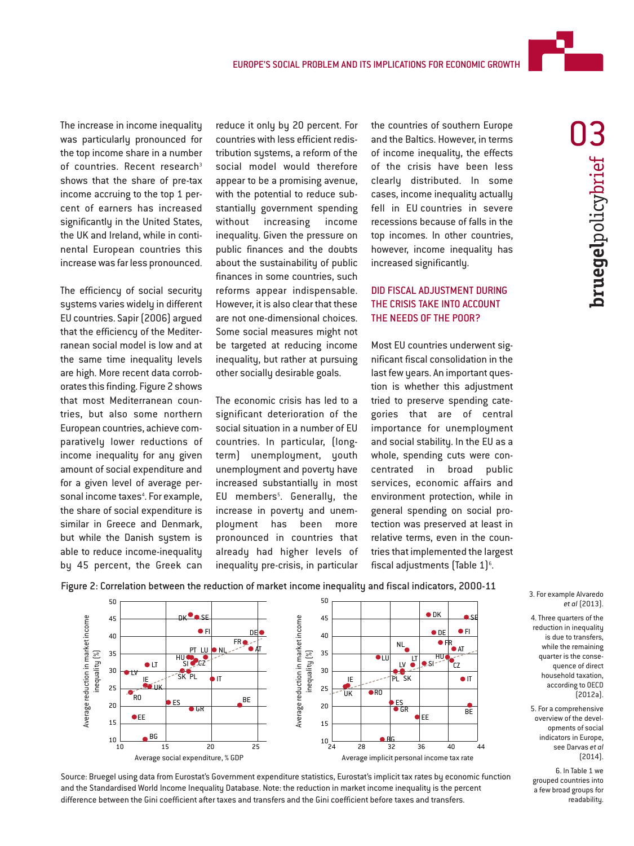

The efficiency of social security systems varies widely in different EU countries. Sapir (2006) argued that the efficiency of the Mediterranean social model is low and at the same time inequality levels are high. More recent data corroborates this finding. Figure 2 shows that most Mediterranean countries, but also some northern European countries, achieve comparatively lower reductions of income inequality for any given amount of social expenditure and for a given level of average personal income taxes<sup>4</sup>. For example, the share of social expenditure is similar in Greece and Denmark, but while the Danish system is able to reduce income-inequality by 45 percent, the Greek can

reduce it only by 20 percent. For countries with less efficient redistribution systems, a reform of the social model would therefore appear to be a promising avenue, with the potential to reduce substantially government spending without increasing income inequality. Given the pressure on public finances and the doubts about the sustainability of public finances in some countries, such reforms appear indispensable. However, it is also clear that these are not one-dimensional choices. Some social measures might not be targeted at reducing income inequality, but rather at pursuing other socially desirable goals.

The economic crisis has led to a significant deterioration of the social situation in a number of EU countries. In particular, (longterm) unemployment, youth unemployment and poverty have increased substantially in most EU members<sup>5</sup>. Generally, the increase in poverty and unemployment has been more pronounced in countries that already had higher levels of inequality pre-crisis, in particular the countries of southern Europe and the Baltics. However, in terms of income inequality, the effects of the crisis have been less clearly distributed. In some cases, income inequality actually fell in EU countries in severe recessions because of falls in the top incomes. In other countries, however, income inequality has increased significantly.

## DID FISCAL ADJUSTMENT DURING THE CRISIS TAKE INTO ACCOUNT THE NEEDS OF THE POOR?

Most EU countries underwent significant fiscal consolidation in the last few years. An important question is whether this adjustment tried to preserve spending categories that are of central importance for unemployment and social stability. In the EU as a whole, spending cuts were concentrated in broad public services, economic affairs and environment protection, while in general spending on social protection was preserved at least in relative terms, even in the countries that implemented the largest fiscal adjustments (Table  $1$ ) $^{\circ}$ .

Figure 2: Correlation between the reduction of market income inequality and fiscal indicators, 2000-11





#### 3. For example Alvaredo *et al* (2013).

4. Three quarters of the reduction in inequality is due to transfers, while the remaining quarter is the consequence of direct household taxation, according to OECD  $[2012a]$ .

5. For a comprehensive overview of the developments of social indicators in Europe, see Darvas *et al* (2014).

6. In Table 1 we grouped countries into a few broad groups for readability.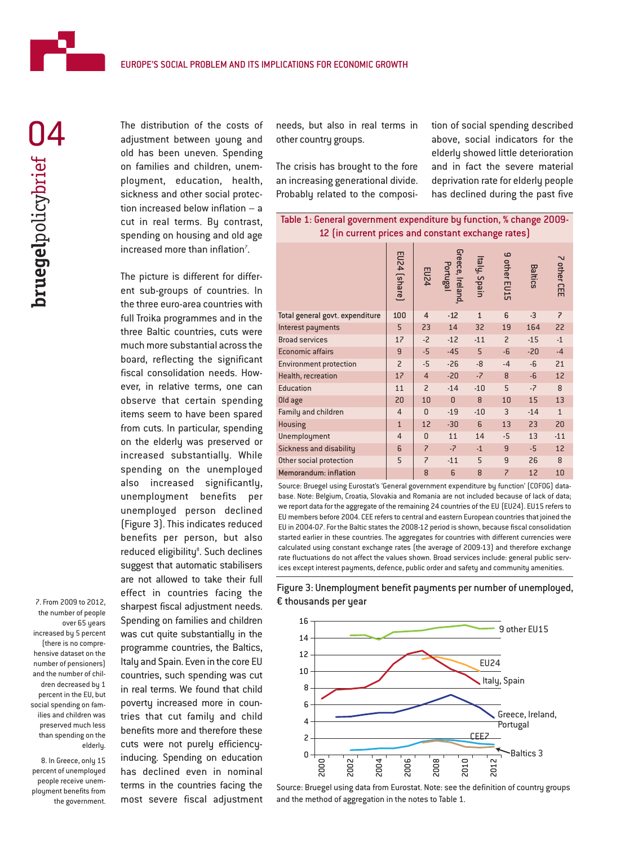

The distribution of the costs of adjustment between young and old has been uneven. Spending on families and children, unemployment, education, health, sickness and other social protection increased below inflation – a cut in real terms. By contrast, spending on housing and old age increased more than inflation<sup>7</sup>. .

The picture is different for different sub-groups of countries. In the three euro-area countries with full Troika programmes and in the three Baltic countries, cuts were much more substantial across the board, reflecting the significant fiscal consolidation needs. However, in relative terms, one can observe that certain spending items seem to have been spared from cuts. In particular, spending on the elderly was preserved or increased substantially. While spending on the unemployed also increased significantly, unemployment benefits per unemployed person declined (Figure 3). This indicates reduced benefits per person, but also reduced eligibility<sup>8</sup>. Such declines suggest that automatic stabilisers are not allowed to take their full effect in countries facing the 7. From 2009 to 2012, Sharpest fiscal adjustment needs. € thousands per year Spending on families and children was cut quite substantially in the programme countries, the Baltics, Italy and Spain. Even in the core EU countries, such spending was cut in real terms. We found that child poverty increased more in countries that cut family and child benefits more and therefore these cuts were not purely efficiencyinducing. Spending on education has declined even in nominal terms in the countries facing the most severe fiscal adjustment

needs, but also in real terms in other country groups.

The crisis has brought to the fore an increasing generational divide. Probably related to the composition of social spending described above, social indicators for the elderly showed little deterioration and in fact the severe material deprivation rate for elderly people has declined during the past five

| 12 (in current prices and constant exchange rates) |                          |                      |                                       |                      |        |     |            |
|----------------------------------------------------|--------------------------|----------------------|---------------------------------------|----------------------|--------|-----|------------|
|                                                    | 四<br>$\overline{a}$<br>መ | 띧<br>$\overline{54}$ | ece,<br>공<br>高<br>$\overline{\omega}$ | tal<br>G<br>Sp<br>āi | 유<br>띧 | င္ဖ | other<br>m |

Table 1: General government expenditure by function, % change 2009-

|                                 | $\bar{e}$      |                          | and,     | Ξ.           | 뉴              |       | ш<br>$\mathbf{m}$        |
|---------------------------------|----------------|--------------------------|----------|--------------|----------------|-------|--------------------------|
| Total general govt. expenditure | 100            | $\overline{4}$           | $-12$    | $\mathbf{1}$ | 6              | $-3$  | $\overline{\phantom{0}}$ |
| Interest payments               | 5              | 23                       | 14       | 32           | 19             | 164   | 22                       |
| <b>Broad services</b>           | 17             | $-2$                     | $-12$    | $-11$        | $\overline{c}$ | $-15$ | $-1$                     |
| <b>Economic affairs</b>         | 9              | $-5$                     | $-45$    | 5            | $-6$           | $-20$ | $-4$                     |
| <b>Environment protection</b>   | $\overline{c}$ | $-5$                     | $-26$    | $-8$         | $-4$           | $-6$  | 21                       |
| Health, recreation              | 17             | $\overline{4}$           | $-20$    | $-7$         | 8              | $-6$  | 12                       |
| <b>Education</b>                | 11             | $\overline{c}$           | $-14$    | $-10$        | 5              | $-7$  | 8                        |
| Old age                         | 20             | 10                       | $\Omega$ | 8            | 10             | 15    | 13                       |
| Family and children             | $\overline{4}$ | $\Omega$                 | $-19$    | $-10$        | 3              | $-14$ | $\mathbf{1}$             |
| <b>Housing</b>                  | $\mathbf{1}$   | 12                       | $-30$    | 6            | 13             | 23    | 20                       |
| Unemployment                    | $\overline{4}$ | 0                        | 11       | 14           | $-5$           | 13    | $-11$                    |
| Sickness and disability         | 6              | $\overline{\phantom{0}}$ | $-7$     | $-1$         | 9              | $-5$  | 12                       |
| Other social protection         | 5              | $\overline{\phantom{0}}$ | $-11$    | 5            | 9              | 26    | 8                        |
| <b>Memorandum: inflation</b>    |                | 8                        | 6        | 8            | $\overline{z}$ | 12    | 10                       |

Source: Bruegel using Eurostat's 'General government expenditure by function' (COFOG) database. Note: Belgium, Croatia, Slovakia and Romania are not included because of lack of data; we report data for the aggregate of the remaining 24 countries of the EU (EU24). EU15 refers to EU members before 2004. CEE refers to central and eastern European countries that joined the EU in 2004-07. For the Baltic states the 2008-12 period is shown, because fiscal consolidation started earlier in these countries. The aggregates for countries with different currencies were calculated using constant exchange rates (the average of 2009-13) and therefore exchange rate fluctuations do not affect the values shown. Broad services include: general public services except interest payments, defence, public order and safety and community amenities.





Source: Bruegel using data from Eurostat. Note: see the definition of country groups and the method of aggregation in the notes to Table 1.

the number of people over 65 years increased by 5 percent (there is no comprehensive dataset on the number of pensioners) and the number of children decreased by 1 percent in the EU, but social spending on families and children was preserved much less than spending on the elderly.

8. In Greece, only 15 percent of unemployed people receive unemployment benefits from the government.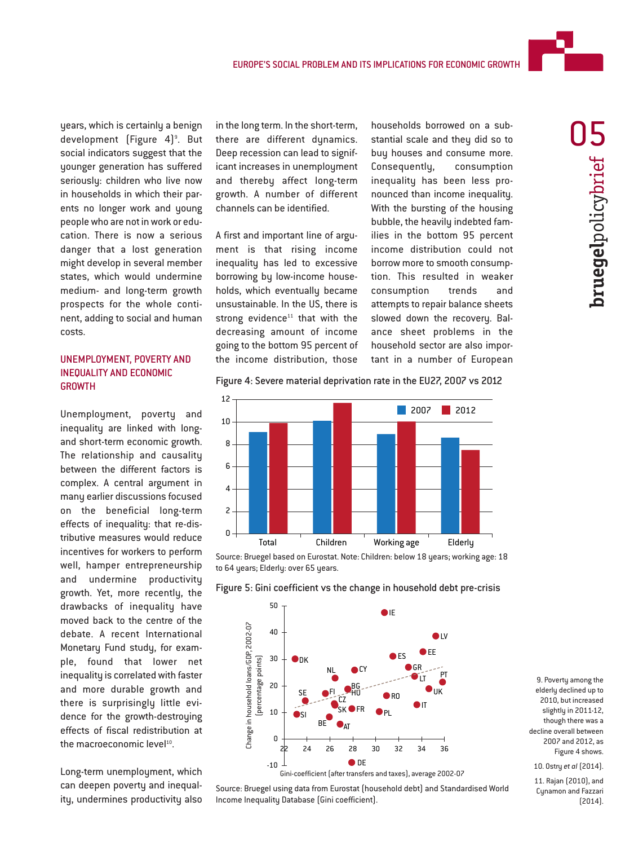

years, which is certainly a benign development (Figure 4)<sup>9</sup>. But social indicators suggest that the younger generation has suffered seriously: children who live now in households in which their parents no longer work and young people who are not in work or education. There is now a serious danger that a lost generation might develop in several member states, which would undermine medium- and long-term growth prospects for the whole continent, adding to social and human costs.

# UNEMPLOYMENT, POVERTY AND INEQUALITY AND ECONOMIC GROWTH

Unemployment, poverty and inequality are linked with longand short-term economic growth. The relationship and causality between the different factors is complex. A central argument in many earlier discussions focused on the beneficial long-term effects of inequality: that re-distributive measures would reduce incentives for workers to perform well, hamper entrepreneurship and undermine productivity growth. Yet, more recently, the drawbacks of inequality have moved back to the centre of the debate. A recent International Monetary Fund study, for example, found that lower net inequality is correlated with faster and more durable growth and there is surprisingly little evidence for the growth-destroying effects of fiscal redistribution at the macroeconomic level<sup>10</sup>.

Long-term unemployment, which can deepen poverty and inequality, undermines productivity also

in the long term. In the short-term, there are different dynamics. Deep recession can lead to significant increases in unemployment and thereby affect long-term growth. A number of different channels can be identified.

A first and important line of argument is that rising income inequality has led to excessive borrowing by low-income households, which eventually became unsustainable. In the US, there is strong evidence $11$  that with the decreasing amount of income going to the bottom 95 percent of the income distribution, those

households borrowed on a substantial scale and they did so to buy houses and consume more. Consequently, consumption inequality has been less pronounced than income inequality. With the bursting of the housing bubble, the heavily indebted families in the bottom 95 percent income distribution could not borrow more to smooth consumption. This resulted in weaker consumption trends and attempts to repair balance sheets slowed down the recovery. Balance sheet problems in the household sector are also important in a number of European

**bruegel**policybrief bruegelpolicybrief U

Figure 4: Severe material deprivation rate in the EU27, 2007 vs 2012



Source: Bruegel based on Eurostat. Note: Children: below 18 years; working age: 18 to 64 years; Elderly: over 65 years.

Figure 5: Gini coefficient vs the change in household debt pre-crisis



9. Poverty among the elderly declined up to 2010, but increased slightly in 2011-12, though there was a decline overall between 2007 and 2012, as Figure 4 shows.

10. Ostry *et al* (2014).

11. Rajan (2010), and Cynamon and Fazzari (2014).



Source: Bruegel using data from Eurostat (household debt) and Standardised World

Income Inequality Database (Gini coefficient).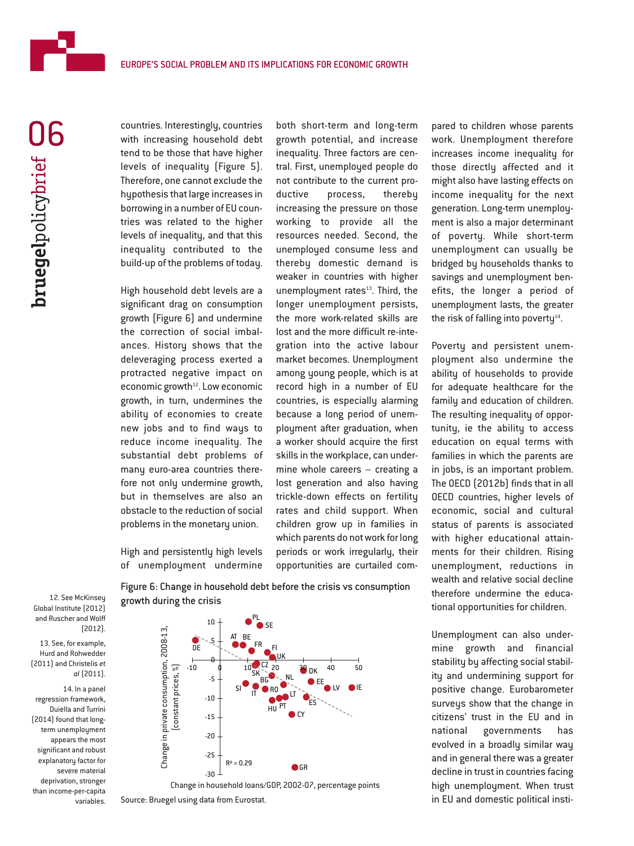

countries. Interestingly, countries with increasing household debt tend to be those that have higher levels of inequality (Figure 5). Therefore, one cannot exclude the hypothesis that large increases in borrowing in a number of EU countries was related to the higher levels of inequality, and that this inequality contributed to the build-up of the problems of today.

High household debt levels are a significant drag on consumption growth (Figure 6) and undermine the correction of social imbalances. History shows that the deleveraging process exerted a protracted negative impact on economic growth<sup>12</sup>. Low economic growth, in turn, undermines the ability of economies to create new jobs and to find ways to reduce income inequality. The substantial debt problems of many euro-area countries therefore not only undermine growth, but in themselves are also an obstacle to the reduction of social problems in the monetary union.

High and persistently high levels of unemployment undermine

both short-term and long-term growth potential, and increase inequality. Three factors are central. First, unemployed people do not contribute to the current productive process, thereby increasing the pressure on those working to provide all the resources needed. Second, the unemployed consume less and thereby domestic demand is weaker in countries with higher unemployment rates<sup>13</sup>. Third, the longer unemployment persists, the more work-related skills are lost and the more difficult re-integration into the active labour market becomes. Unemployment among young people, which is at record high in a number of EU countries, is especially alarming because a long period of unemployment after graduation, when a worker should acquire the first skills in the workplace, can undermine whole careers – creating a lost generation and also having trickle-down effects on fertility rates and child support. When children grow up in families in which parents do not work for long periods or work irregularly, their opportunities are curtailed compared to children whose parents work. Unemployment therefore increases income inequality for those directly affected and it might also have lasting effects on income inequality for the next generation. Long-term unemployment is also a major determinant of poverty. While short-term unemployment can usually be bridged by households thanks to savings and unemployment benefits, the longer a period of unemployment lasts, the greater the risk of falling into poverty $14$ .

Poverty and persistent unemployment also undermine the ability of households to provide for adequate healthcare for the family and education of children. The resulting inequality of opportunity, ie the ability to access education on equal terms with families in which the parents are in jobs, is an important problem. The OECD (2012b) finds that in all OECD countries, higher levels of economic, social and cultural status of parents is associated with higher educational attainments for their children. Rising unemployment, reductions in wealth and relative social decline therefore undermine the educational opportunities for children.

Unemployment can also undermine growth and financial stability by affecting social stability and undermining support for positive change. Eurobarometer surveys show that the change in citizens' trust in the EU and in national governments has evolved in a broadly similar way and in general there was a greater decline in trust in countries facing high unemployment. When trust in EU and domestic political insti-

12. See McKinsey Global Institute (2012) and Ruscher and Wolff (2012).

13. See, for example, Hurd and Rohwedder (2011) and Christelis *et al* (2011).

14. In a panel regression framework, Duiella and Turrini (2014) found that longterm unemployment appears the most significant and robust explanatory factor for severe material deprivation, stronger than income-per-capita variables.

Figure 6: Change in household debt before the crisis vs consumption growth during the crisis



Source: Bruegel using data from Eurostat.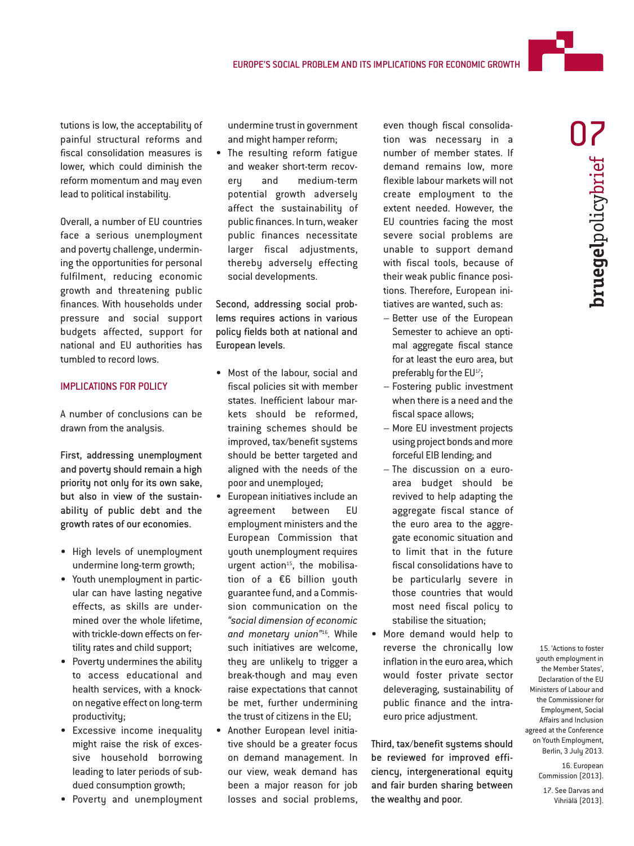tutions is low, the acceptability of painful structural reforms and fiscal consolidation measures is lower, which could diminish the reform momentum and may even lead to political instability.

Overall, a number of EU countries face a serious unemployment and poverty challenge, undermining the opportunities for personal fulfilment, reducing economic growth and threatening public finances. With households under pressure and social support budgets affected, support for national and EU authorities has tumbled to record lows.

## IMPLICATIONS FOR POLICY

A number of conclusions can be drawn from the analysis.

First, addressing unemployment and poverty should remain a high priority not only for its own sake, but also in view of the sustainability of public debt and the growth rates of our economies.

- High levels of unemployment undermine long-term growth;
- Youth unemployment in particular can have lasting negative effects, as skills are undermined over the whole lifetime, with trickle-down effects on fertility rates and child support;
- Poverty undermines the ability to access educational and health services, with a knockon negative effect on long-term productivity;
- Excessive income inequality might raise the risk of excessive household borrowing leading to later periods of subdued consumption growth;
- Poverty and unemployment

undermine trust in government and might hamper reform;

• The resulting reform fatigue and weaker short-term recovery and medium-term potential growth adversely affect the sustainability of public finances. In turn, weaker public finances necessitate larger fiscal adjustments, thereby adversely effecting social developments.

Second, addressing social problems requires actions in various policy fields both at national and European levels.

- Most of the labour, social and fiscal policies sit with member states. Inefficient labour markets should be reformed, training schemes should be improved, tax/benefit systems should be better targeted and aligned with the needs of the poor and unemployed;
- European initiatives include an agreement between EU employment ministers and the European Commission that youth unemployment requires urgent action $15$ , the mobilisation of a €6 billion youth guarantee fund, and a Commission communication on the *"social dimension of economic and monetary union"*<sup>16</sup> . While such initiatives are welcome, they are unlikely to trigger a break-though and may even raise expectations that cannot be met, further undermining the trust of citizens in the EU;
- Another European level initiative should be a greater focus on demand management. In our view, weak demand has been a major reason for job losses and social problems,

even though fiscal consolidation was necessary in a number of member states. If demand remains low, more flexible labour markets will not create employment to the extent needed. However, the EU countries facing the most severe social problems are unable to support demand with fiscal tools, because of their weak public finance positions. Therefore, European initiatives are wanted, such as:

- Better use of the European Semester to achieve an optimal aggregate fiscal stance for at least the euro area, but preferably for the EU<sup>17</sup>;
- Fostering public investment when there is a need and the fiscal space allows;
- More EU investment projects using project bonds and more forceful EIB lending; and
- The discussion on a euroarea budget should be revived to help adapting the aggregate fiscal stance of the euro area to the aggregate economic situation and to limit that in the future fiscal consolidations have to be particularly severe in those countries that would most need fiscal policy to stabilise the situation;
- More demand would help to reverse the chronically low inflation in the euro area, which would foster private sector deleveraging, sustainability of public finance and the intraeuro price adjustment.

Third, tax/benefit systems should be reviewed for improved efficiency, intergenerational equity and fair burden sharing between the wealthy and poor.

15. 'Actions to foster youth employment in the Member States', Declaration of the EU Ministers of Labour and the Commissioner for Employment, Social Affairs and Inclusion agreed at the Conference on Youth Employment, Berlin, 3 July 2013.

> 16. European Commission (2013).

17. See Darvas and Vihriälä (2013).